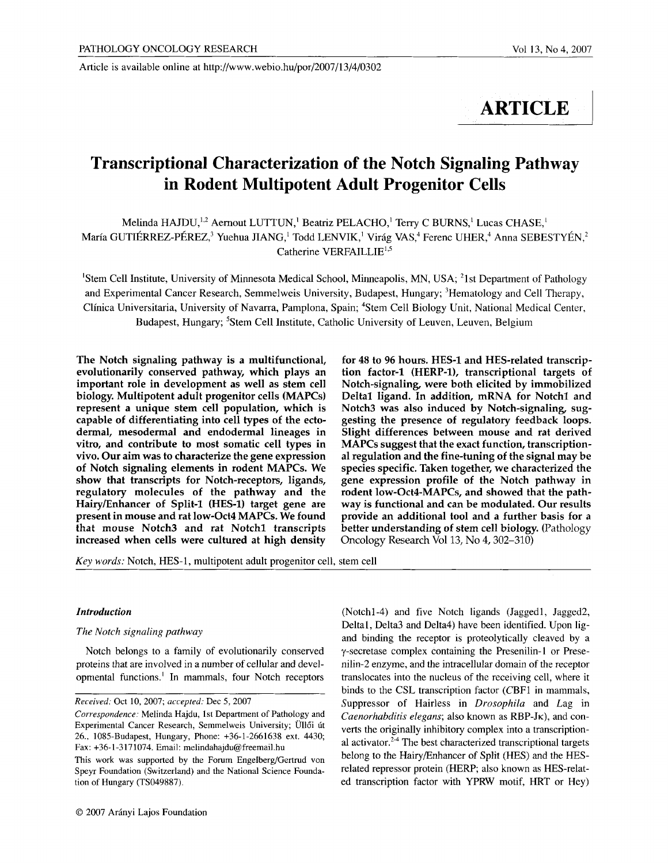Article is available online at http://www.webio.hu/por/2007/13/4/0302

# **ARTICLE**

# **Transcriptional Characterization of the Notch Signaling Pathway in Rodent Multipotent Adult Progenitor Cells**

Melinda HAJDU,<sup>1,2</sup> Aernout LUTTUN,<sup>1</sup> Beatriz PELACHO,<sup>1</sup> Terry C BURNS,<sup>1</sup> Lucas CHASE,<sup>1</sup> María GUTIÉRREZ-PÉREZ,<sup>3</sup> Yuehua JIANG, <sup>1</sup> Todd LENVIK, <sup>1</sup> Virág VAS, <sup>4</sup> Ferenc UHER, <sup>4</sup> Anna SEBESTYÉN, <sup>2</sup> Catherine VERFAILLI $E^{1,5}$ 

<sup>1</sup>Stem Cell Institute, University of Minnesota Medical School, Minneapolis, MN, USA; <sup>2</sup>1st Department of Pathology and Experimental Cancer Research, Semmelweis University, Budapest, Hungary; <sup>3</sup>Hematology and Cell Therapy, Clinica Universitaria, University of Navarra, Pamplona, Spain; 4Stem Cell Biology Unit, National Medical Center, Budapest, Hungary; <sup>5</sup>Stem Cell Institute, Catholic University of Leuven, Leuven, Belgium

The Notch signaling pathway is a multifunctional, evolutionarily conserved pathway, which plays an important role in development as well as stem cell biology. Multipotent adult progenitor cells **(MAPCs)**  represent a unique stem cell population, which is capable of differentiating into cell types of the ectodermal, mesodermal and endodermal lineages in vitro, and contribute to most somatic cell types in vivo. Our aim was to characterize the gene expression **of** Notch signaling elements in rodent MAPCs. We show that transcripts for Notch-receptors, ligands, regulatory molecules of the pathway and the Hairy/Enhancer of Split-1 (HES-1) target gene are present in mouse and rat **low-Oct4 MAPCs. We found**  that mouse Notch3 and rat Notch1 transcripts increased when cells were cultured at high density

**for** 48 to 96 hours. HES-1 and HES-related transcription factor-1 (HERP-1), transcriptional targets **of**  Notch-signaling, were both elicited by immobilized Delta1 ligand. In addition, mRNA for Notch1 and Notch3 was also induced by Notch-signaling, suggesting the presence of regulatory feedback loops. Slight differences between mouse and rat derived **MAPCs** suggest that the exact function, transcriptional regulation and the fine-tuning of the signal may be species specific. Taken together, we characterized the gene expression profile of the Notch pathway in **rodent** low-Oct4-MAPCs, and showed that the pathway is functional and can be modulated. Our results provide an additional tool and a further basis for a better understanding of stem cell biology. (Pathology Oncology Research Vol 13, No 4, 302-310)

*Key words:* Notch, HES-1, multipotent adult progenitor cell, stem cell

# *Introduction*

# *The Notch signaling pathway*

Notch belongs to a family of evolutionarily conserved proteins that are involved in a number of cellular and developmental functions.<sup>1</sup> In mammals, four Notch receptors (Notchl-4) and five Notch ligands (Jaggedl, Jagged2, Deltal, Delta3 and Delta4) have been identified. Upon ligand binding the receptor is proteolytically cleaved by a y-secretase complex containing the Presenilin-1 or Presenilin-2 enzyme, and the intracellular domain of the receptor translocates into the nucleus of the receiving cell, where it binds to the CSL transcription factor (CBF1 in mammals, Suppressor of Hairless in *Drosophila* and Lag in *Caenorhabditis elegans;* also known as RBP-JK), and converts the originally inhibitory complex into a transcriptional activator. $2-4$  The best characterized transcriptional targets belong to the Hairy/Enhancer of Split (HES) and the HESrelated repressor protein (HERP; also known as HES-related transcription factor with YPRW motif, HRT or Hey)

*Received:* Oct 10, 2007; *accepted:* Dec 5, 2007

*Correspondence:* Melinda Hajdu, 1st Department of Pathology and Experimental Cancer Research, Semmelweis University; Üllői út 26., 1085-Budapest, Hungary, Phone: +36-1-2661638 ext. 4430; Fax: +36-1-3171074. Email: melindahajdu@freemail.hu

This work was supported by the Forum Engelberg/Gertrud von Speyr Foundation (Switzerland) and the National Science Foundation of Hungary (TS049887).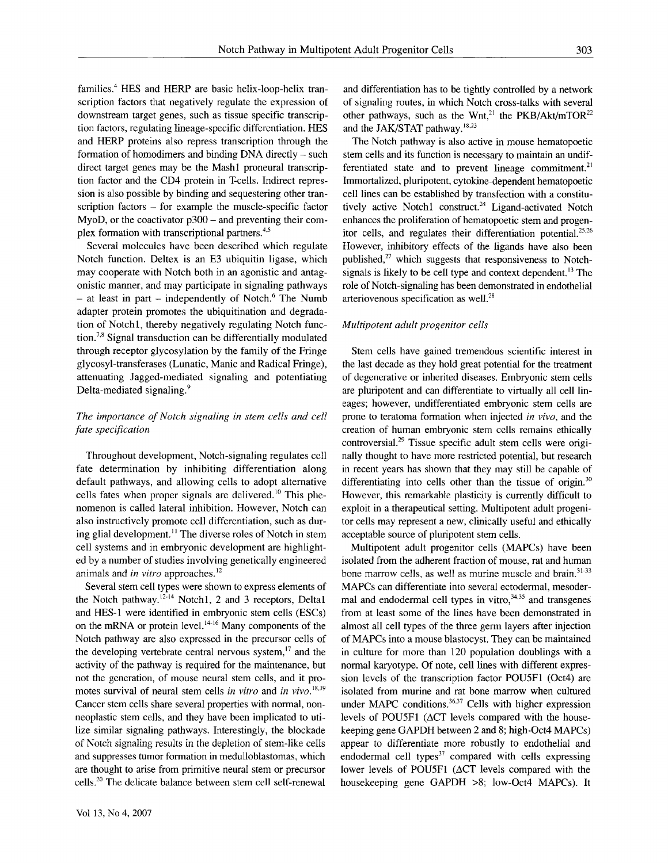families.<sup>4</sup> HES and HERP are basic helix-loop-helix transcription factors that negatively regulate the expression of downstream target genes, such as tissue specific transcription factors, regulating lineage-specific differentiation. HES and HERP proteins also repress transcription through the formation of homodimers and binding DNA directly - such direct target genes may be the Mashl proneural transcription factor and the CD4 protein in T-cells. Indirect repression is also possible by binding and sequestering other transcription factors – for example the muscle-specific factor MyoD, or the coactivator  $p300 -$  and preventing their complex formation with transcriptional partners. 4's

Several molecules have been described which regulate Notch function. Deltex is an E3 ubiquitin ligase, which may cooperate with Notch both in an agonistic and antagonistic manner, and may participate in signaling pathways - at least in part - independently of Notch.<sup>6</sup> The Numb adapter protein promotes the ubiquitination and degradation of Notchl, thereby negatively regulating Notch function.<sup>7,8</sup> Signal transduction can be differentially modulated through receptor glycosylation by the family of the Fringe glycosyl-transferases (Lunatic, Manic and Radical Fringe), attenuating Jagged-mediated signaling and potentiating Delta-mediated signaling.<sup>9</sup>

# *The importance of Notch signaling in stem cells and cell fate specification*

Throughout development, Notch-signaling regulates cell fate determination by inhibiting differentiation along default pathways, and allowing cells to adopt alternative cells fates when proper signals are delivered.<sup>10</sup> This phenomenon is called lateral inhibition. However, Notch can also instructively promote cell differentiation, such as during glial development.<sup>11</sup> The diverse roles of Notch in stem cell systems and in embryonic development are highlighted by a number of studies involving genetically engineered animals and *in vitro* approaches. 12

Several stem cell types were shown to express elements of the Notch pathway.<sup>12-14</sup> Notch1, 2 and 3 receptors, Delta1 and HES-1 were identified in embryonic stem cells (ESCs) on the mRNA or protein level. 1416 Many components of the Notch pathway are also expressed in the precursor cells of the developing vertebrate central nervous system, $17$  and the activity of the pathway is required for the maintenance, but not the generation, of mouse neural stem cells, and it promotes survival of neural stem cells *in vitro* and *in vivo*.<sup>18,19</sup> Cancer stem cells share several properties with normal, nonneoplastic stem cells, and they have been implicated to utilize similar signaling pathways. Interestingly, the blockade of Notch signaling results in the depletion of stem-like cells and suppresses tumor formation in medulloblastomas, which are thought to arise from primitive neural stem or precursor cells.<sup>20</sup> The delicate balance between stem cell self-renewal

and differentiation has to be tightly controlled by a network of signaling routes, in which Notch cross-talks with several other pathways, such as the Wnt,<sup>21</sup> the PKB/Akt/mTOR<sup>22</sup> and the JAK/STAT pathway.<sup>18,23</sup>

The Notch pathway is also active in mouse hematopoetic stem cells and its function is necessary to maintain an undifferentiated state and to prevent lineage commitment.<sup>21</sup> Immortalized, pluripotent, cytokine-dependent hematopoetic cell lines can be established by transfection with a constitutively active Notch1 construct. $24$  Ligand-activated Notch enhances the proliferation of hematopoetic stem and progenitor cells, and regulates their differentiation potential.<sup>25,26</sup> However, inhibitory effects of the ligands have also been published, $^{27}$  which suggests that responsiveness to Notchsignals is likely to be cell type and context dependent.<sup>13</sup> The role of Notch-signaling has been demonstrated in endothelial arteriovenous specification as well. 28

#### *Multipotent adult progenitor cells*

Stem cells have gained tremendous scientific interest in the last decade as they hold great potential for the treatment of degenerative or inherited diseases. Embryonic stem cells are pluripotent and can differentiate to virtually all cell lineages; however, undifferentiated embryonic stem cells are prone to teratoma formation when injected *in vivo,* and the creation of human embryonic stem cells remains ethically  $control<sub>29</sub>$  Tissue specific adult stem cells were originally thought to have more restricted potential, but research in recent years has shown that they may still be capable of differentiating into cells other than the tissue of origin.<sup>30</sup> However, this remarkable plasticity is currently difficult to exploit in a therapeutical setting. Multipotent adult progenitor cells may represent a new, clinically useful and ethically acceptable source of pluripotent stem cells.

Multipotent adult progenitor cells (MAPCs) have been isolated from the adherent fraction of mouse, rat and human bone marrow cells, as well as murine muscle and brain.<sup>31-33</sup> MAPCs can differentiate into several ectodermal, mesodermal and endodermal cell types in vitro,  $34.35$  and transgenes from at least some of the lines have been demonstrated in almost all cell types of the three germ layers after injection of MAPCs into a mouse blastocyst. They can be maintained in culture for more than 120 population doublings with a normal karyotype. Of note, cell lines with different expression levels of the transcription factor POU5F1 (Oct4) are isolated from murine and rat bone marrow when cultured under MAPC conditions.<sup>36,37</sup> Cells with higher expression levels of POU5F1 (ACT levels compared with the housekeeping gene GAPDH between 2 and 8; high-Oct4 MAPCs) appear to differentiate more robustly to endothelial and endodermal cell types $37$  compared with cells expressing lower levels of POU5F1 ( $\Delta$ CT levels compared with the housekeeping gene GAPDH >8; low-Oct4 MAPCs). It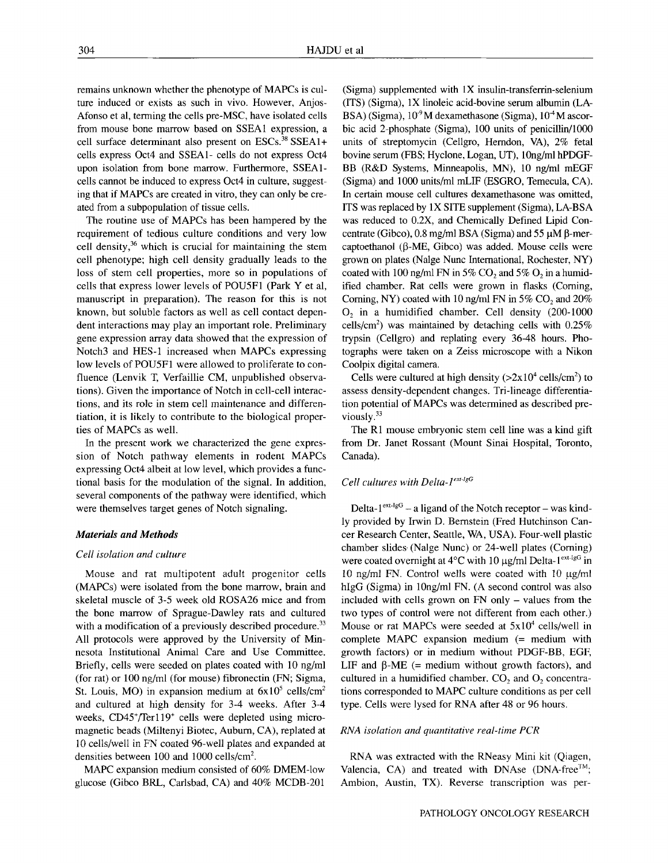remains unknown whether the phenotype of MAPCs is culture induced or exists as such in vivo. However, Anjos-Afonso et al, terming the cells pre-MSC, have isolated cells from mouse bone marrow based on SSEA1 expression, a cell surface determinant also present on ESCs. 38 SSEAI+ cells express Oct4 and SSEA1- cells do not express Oct4 upon isolation from bone marrow. Furthermore, SSEA1 cells cannot be induced to express Oct4 in culture, suggesting that if MAPCs are created in vitro, they can only be created from a subpopulation of tissue cells.

The routine use of MAPCs has been hampered by the requirement of tedious culture conditions and very low cell density, 36 which is crucial for maintaining the stem cell phenotype; high cell density gradually leads to the loss of stem cell properties, more so in populations of cells that express lower levels of POU5F1 (Park Yet al, manuscript in preparation). The reason for this is not known, but soluble factors as well as cell contact dependent interactions may play an important role. Preliminary gene expression array data showed that the expression of Notch3 and HES-1 increased when MAPCs expressing low levels of POU5F1 were allowed to proliferate to confluence (Lenvik T, Verfaillie CM, unpublished observations). Given the importance of Notch in cell-cell interactions, and its role in stem cell maintenance and differentiation, it is likely to contribute to the biological properties of MAPCs as well.

In the present work we characterized the gene expression of Notch pathway elements in rodent MAPCs expressing Oct4 albeit at low level, which provides a functional basis for the modulation of the signal. In addition, several components of the pathway were identified, which were themselves target genes of Notch signaling.

#### *Materials and Methods*

#### *Cell isolation and culture*

Mouse and rat multipotent adult progenitor cells (MAPCs) were isolated from the bone marrow, brain and skeletal muscle of 3-5 week old ROSA26 mice and from the bone marrow of Sprague-Dawley rats and cultured with a modification of a previously described procedure.<sup>33</sup> All protocols were approved by the University of Minnesota Institutional Animal Care and Use Committee. Briefly, cells were seeded on plates coated with 10 ng/ml (for rat) or 100 ng/ml (for mouse) fibronectin (FN; Sigma, St. Louis, MO) in expansion medium at  $6x10^5$  cells/cm<sup>2</sup> and cultured at high density for 3-4 weeks. After 3-4 weeks, CD45+/Ter119+ cells were depleted using micromagnetic beads (Miltenyi Biotec, Auburn, CA), replated at 10 cells/well in FN coated 96-well plates and expanded at densities between 100 and 1000 cells/cm<sup>2</sup>.

MAPC expansion medium consisted of 60% DMEM-Iow glucose (Gibco BRL, Carlsbad, CA) and 40% MCDB-201

(Sigma) supplemented with 1X insulin-transferrin-selenium (ITS) (Sigma), IX linoleic acid-bovine serum albumin (LA-BSA) (Sigma),  $10<sup>9</sup>M$  dexamethasone (Sigma),  $10<sup>-4</sup>M$  ascorbic acid 2-phosphate (Sigma), 100 units of penicillin/1000 units of streptomycin (Cellgro, Herndon, VA), 2% fetal bovine serum (FBS; Hyclone, Logan, UT), 10ng/ml hPDGF-BB (R&D Systems, Minneapolis, MN), 10 ng/ml mEGF (Sigma) and 1000 units/ml mLIF (ESGRO, Temecula, CA). In certain mouse cell cultures dexamethasone was omitted, ITS was replaced by IX SITE supplement (Sigma), LA-BSA was reduced to 0.2X, and Chemically Defined Lipid Concentrate (Gibco),  $0.8$  mg/ml BSA (Sigma) and  $55 \mu M$   $\beta$ -mercaptoethanol ( $\beta$ -ME, Gibco) was added. Mouse cells were grown on plates (Nalge Nunc International, Rochester, NY) coated with 100 ng/ml FN in 5% CO<sub>2</sub> and 5% O<sub>2</sub> in a humidified chamber. Rat cells were grown in flasks (Coming, Corning, NY) coated with 10 ng/ml FN in 5% CO<sub>2</sub> and  $20\%$  $O<sub>2</sub>$  in a humidified chamber. Cell density (200-1000 cells/cm<sup>2</sup>) was maintained by detaching cells with  $0.25\%$ trypsin (Cellgro) and replating every 36-48 hours. Photographs were taken on a Zeiss microscope with a Nikon Coolpix digital camera.

Cells were cultured at high density  $(>2x10^4 \text{ cells/cm}^2)$  to assess density-dependent changes. Tri-lineage differentiation potential of MAPCs was determined as described previously.<sup>33</sup>

The R1 mouse embryonic stem cell line was a kind gift from Dr. Janet Rossant (Mount Sinai Hospital, Toronto, Canada).

# *Cell cultures with Delta-1<sup>ext-1gG</sup>*

Delta- $1^{ext-legG}$  – a ligand of the Notch receptor – was kindly provided by Irwin D. Bernstein (Fred Hutchinson Cancer Research Center, Seattle, WA, USA). Four-well plastic chamber slides-(Nalge Nunc) or 24-well plates (Coming) were coated overnight at  $4^{\circ}$ C with 10  $\mu$ g/ml Delta-1<sup>ext-IgG</sup> in 10 ng/ml FN. Control wells were coated with  $10 \mu g/ml$ hlgG (Sigma) in 10ng/ml FN. (A second control was also included with cells grown on FN only - values from the two types of control were not different from each other.) Mouse or rat MAPCs were seeded at  $5x10^4$  cells/well in complete MAPC expansion medium (= medium with growth factors) or in medium without PDGF-BB, EGF, LIF and  $\beta$ -ME (= medium without growth factors), and cultured in a humidified chamber.  $CO<sub>2</sub>$  and  $O<sub>2</sub>$  concentrations corresponded to MAPC culture conditions as per cell type. Cells were lysed for RNA after 48 or 96 hours.

#### *RNA isolation and quantitative real-time PCR*

RNA was extracted with the RNeasy Mini kit (Qiagen, Valencia, CA) and treated with DNAse (DNA-free<sup>TM</sup>; Ambion, Austin, TX). Reverse transcription was per-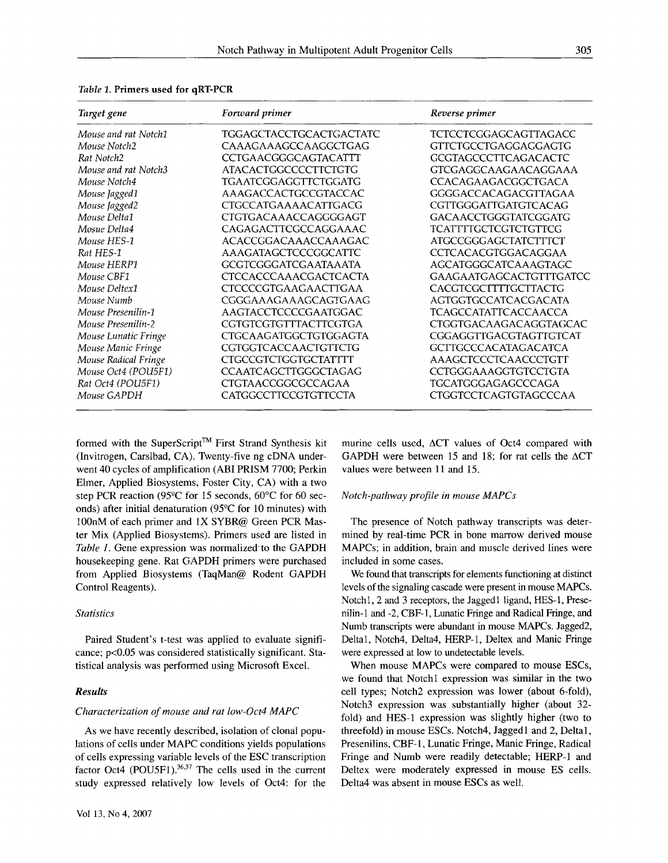| Target gene          | Forward primer              | Reverse primer                 |
|----------------------|-----------------------------|--------------------------------|
| Mouse and rat Notch1 | TGGAGCTACCTGCACTGACTATC     | TCTCCTCGGAGCAGTTAGACC          |
| Mouse Notch2         | CAAAGAAAGCCAAGGCTGAG        | GTTCTGCCTGAGGAGGAGTG           |
| Rat Notch2           | CCTGAACGGGCAGTACATTT        | <b>GCGTAGCCCTTCAGACACTC</b>    |
| Mouse and rat Notch3 | <b>ATACACTGGCCCCTTCTGTG</b> | GTCGAGGCAAGAACAGGAAA           |
| Mouse Notch4         | TGAATCGGAGGTTCTGGATG        | <b>CCACAGAAGACGGCTGACA</b>     |
| Mouse Jagged1        | AAAGACCACTGCCGTACCAC        | GGGGACCACAGACGTTAGAA           |
| Mouse Jagged2        | <b>CTGCCATGAAAACATTGACG</b> | CGTTGGGATTGATGTCACAG           |
| Mouse Delta1         | CTGTGACAAACCAGGGGAGT        | GACAACCTGGGTATCGGATG           |
| Mosue Delta4         | CAGAGACTTCGCCAGGAAAC        | <b>TCATTTTGCTCGTCTGTTCG</b>    |
| Mouse HES-1          | ACACCGGACAAACCAAAGAC        | <b>ATGCCGGGAGCTATCTTTCT</b>    |
| Rat HES-1            | AAAGATAGCTCCCGGCATTC        | CCTCACACGTGGACAGGAA            |
| Mouse HERP1          | GCGTCGGGATCGAATAAATA        | AGCATGGGCATCAAAGTAGC           |
| Mouse CBF1           | CTCCACCCAAACGACTCACTA       | <b>GAAGAATGAGCACTGTTTGATCC</b> |
| Mouse Deltex1        | CTCCCCGTGAAGAACTTGAA        | CACGTCGCTTTTGCTTACTG           |
| Mouse Numb           | CGGGAAAGAAAGCAGTGAAG        | AGTGGTGCCATCACGACATA           |
| Mouse Presenilin-1   | AAGTACCTCCCCGAATGGAC        | <b>TCAGCCATATTCACCAACCA</b>    |
| Mouse Presenilin-2   | CGTGTCGTGTTTACTTCGTGA       | CTGGTGACAAGACAGGTAGCAC         |
| Mouse Lunatic Fringe | CTGCAAGATGGCTGTGGAGTA       | CGGAGGTTGACGTAGTTGTCAT         |
| Mouse Manic Fringe   | CGTGGTCACCAACTGTTCTG        | GCTTGCCCACATAGACATCA           |
| Mouse Radical Fringe | <b>CTGCCGTCTGGTGCTATTTT</b> | AAAGCTCCCTCAACCCTGTT           |
| Mouse Oct4 (POU5F1)  | <b>CCAATCAGCTTGGGCTAGAG</b> | CCTGGGAAAGGTGTCCTGTA           |
| Rat Oct4 (POU5F1)    | CTGTAACCGGCGCCAGAA          | TGCATGGGAGAGCCCAGA             |
| Mouse GAPDH          | CATGGCCTTCCGTGTTCCTA        | CTGGTCCTCAGTGTAGCCCAA          |

*Table 1.* **Primers used for qRT-PCR** 

formed with the SuperScript<sup>™</sup> First Strand Synthesis kit (Invitrogen, Carslbad, CA). Twenty-five ng cDNA underwent 40 cycles of amplification (ABI PRISM 7700; Perkin Elmer, Applied Biosystems, Foster City, CA) with a two step PCR reaction (95°C for 15 seconds, 60°C for 60 seconds) after initial denaturation (95°C for 10 minutes) with 100nM of each primer and 1X SYBR@ Green PCR Master Mix (Applied Biosystems). Primers used are listed in Table 1. Gene expression was normalized to the GAPDH housekeeping gene. Rat GAPDH primers were purchased from Applied Biosystems (TaqMan@ Rodent GAPDH Control Reagents).

# *Statistics*

Paired Student's t-test was applied to evaluate significance; p<0.05 was considered statistically significant. Statistical analysis was performed using Microsoft Excel.

#### *Results*

#### *Characterization of mouse and rat low-Oct4 MAPC*

As we have recently described, isolation of clonal populations of cells under MAPC conditions yields populations of cells expressing variable levels of the ESC transcription factor Oct4 (POU5F1). $36,37$  The cells used in the current study expressed relatively low levels of Oct4: for the

murine cells used,  $\Delta CT$  values of Oct4 compared with GAPDH were between 15 and 18; for rat cells the  $\triangle$ CT values were between 11 and 15.

#### *Notch-pathway profile in mouse MAPCs*

The presence of Notch pathway transcripts was determined by real-time PCR in bone marrow derived mouse MAPCs; in addition, brain and muscle derived lines were included in some cases.

We found that transcripts for elements functioning at distinct levels of the signaling cascade were present in mouse MAPCs. Notch1, 2 and 3 receptors, the Jaggedl ligand, HES-1, Presenilin-1 and -2, CBF-1, Lunatic Fringe and Radical Fringe, and Numb transcripts were abundant in mouse MAPCs. Jagged2, Deltal, Notch4, Delta4, HERP-1, Deltex and Manic Fringe were expressed at low to undetectable levels.

When mouse MAPCs were compared to mouse ESCs, we found that Notch1 expression was similar in the two cell types; Notch2 expression was lower (about 6-fold), Notch3 expression was substantially higher (about 32 fold) and HES-1 expression was slightly higher (two to threefold) in mouse ESCs. Notch4, Jaggedl and 2, Deltal, Presenilins, CBF-1, Lunatic Fringe, Manic Fringe, Radical Fringe and Numb were readily detectable; HERP-1 and Deltex were moderately expressed in mouse ES cells. Delta4 was absent in mouse ESCs as well.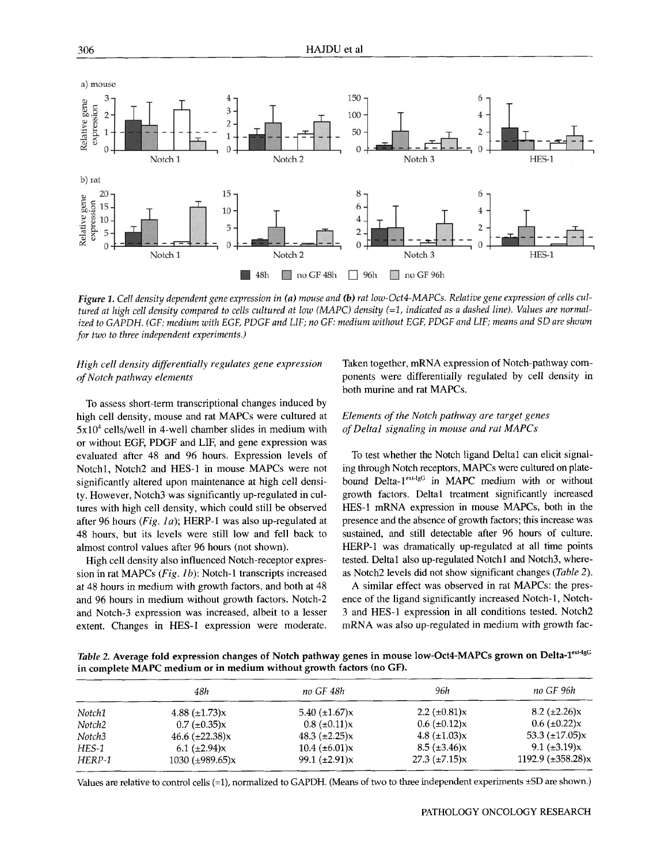

*Figure 1. Cell density dependent gene expression in (a) mouse and (b) rat low-Oct4-MAPCs. Relative gene expression of cells cultured at high cell density compared to cells cultured at low (MAPC) density (=1, indicated as a dashed line). Values are normalized to GAPDH. (GF: medium with EGF, PDGF and LIF; no GF: medium without EGF, PDGF and LIF; means and SD are shown for two to three independent experiments.)* 

# *High cell density differentially regulates gene expression of Notch pathway elements*

To assess short-term transcriptional changes induced by high cell density, mouse and rat MAPCs were cultured at  $5x10<sup>4</sup>$  cells/well in 4-well chamber slides in medium with or without EGF, PDGF and LIF, and gene expression was evaluated after 48 and 96 hours. Expression levels of Notchl, Notch2 and HES-1 in mouse MAPCs were not significantly altered upon maintenance at high cell density. However, Notch3 was significantly up-regulated in cultures with high cell density, which could still be observed after 96 hours *(Fig. la);* HERP-1 was also up-regulated at 48 hours, but its levels were still low and fell back to almost control values after 96 hours (not shown).

High cell density also influenced Notch-receptor expression in rat MAPCs *(Fig. lb):* Notch-1 transcripts increased at 48 hours in medium with growth factors, and both at 48 and 96 hours in medium without growth factors. Notch-2 and Notch-3 expression was increased, albeit to a lesser extent. Changes in HES-I expression were moderate. Taken together, mRNA expression of Notch-pathway components were differentially regulated by cell density in both murine and rat MAPCs.

# *Elements of the Notch pathway are target genes of Deltal signaling in mouse and rat MAPCs*

To test whether the Notch ligand Deltal can elicit signaling through Notch receptors, MAPCs were cultured on platebound Delta-1<sup>ext-IgG</sup> in MAPC medium with or without growth factors. Deltal treatment significantly increased HES-1 mRNA expression in mouse MAPCs, both in the presence and the absence of growth factors; this increase was sustained, and still detectable after 96 hours of culture. HERP-1 was dramatically up-regulated at all time points tested. Deltal also up-regulated Notchl and Notch3, whereas Notch2 levels did not show significant changes *(Table 2).* 

A similar effect was observed in rat MAPCs: the presence of the ligand significantly increased Notch-1, Notch-3 and HES-1 expression in all conditions tested. Notch2 mRNA was also up-regulated in medium with growth fac-

*Table 2. Average fold expression changes of Notch pathway genes in mouse low-Oct4-MAPCs grown on Delta-1<sup>ext-1gG</sup>* **in complete MAPC medium or in medium without growth factors (no GF).** 

|         | 48h                  | no GF 48h            | 96h                  | no GF 96h              |  |  |
|---------|----------------------|----------------------|----------------------|------------------------|--|--|
| Notch1  | 4.88 $(\pm 1.73)x$   | 5.40 $(\pm 1.67)x$   | 2.2 $(\pm 0.81)x$    | $8.2 \ (\pm 2.26)x$    |  |  |
| Notch2  | $0.7 \ (\pm 0.35)x$  | $0.8 \ (\pm 0.11)x$  | $0.6 \ (\pm 0.12)x$  | $0.6 \ (\pm 0.22)x$    |  |  |
| Notch3  | 46.6 $(\pm 22.38)x$  | 48.3 $(\pm 2.25)x$   | 4.8 $(\pm 1.03)x$    | 53.3 $(\pm 17.05)x$    |  |  |
| $HES-1$ | 6.1 $(\pm 2.94)x$    | $10.4 \ (\pm 6.01)x$ | $8.5 \ (\pm 3.46)x$  | 9.1 $(\pm 3.19)x$      |  |  |
| HERP-1  | 1030 $(\pm 989.65)x$ | 99.1 $(\pm 2.91)x$   | $27.3 \ (\pm 7.15)x$ | 1192.9 $(\pm 358.28)x$ |  |  |

Values are relative to control cells (=1), normalized to GAPDH. (Means of two to three independent experiments \_+SD are shown.)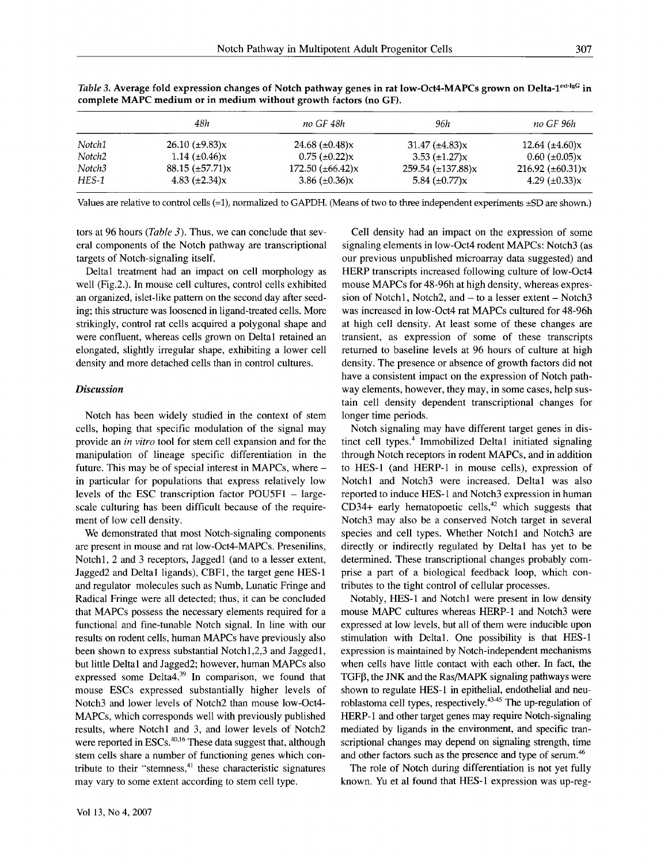|                    | 48h                    | no GF 48h                     | 96h                            | no GF 96h             |
|--------------------|------------------------|-------------------------------|--------------------------------|-----------------------|
| Notch1             | $26.10 \ (\pm 9.83)x$  | 24.68 $(\pm 0.48)x$           | $31.47 \ (\pm 4.83)x$          | 12.64 $(\pm 4.60)x$   |
| Notch <sub>2</sub> | 1.14 $(\pm 0.46)x$     | $0.75$ ( $\pm 0.22$ )x        | $3.53 \ (\pm 1.27)x$           | $0.60 \ (\pm 0.05)x$  |
| Notch3             | $88.15 \ (\pm 57.71)x$ | $172.50 \ (\pm 66.42) \times$ | $259.54 \ (\pm 137.88) \times$ | 216.92 $(\pm 60.31)x$ |
| HES-1              | 4.83 $(\pm 2.34)x$     | 3.86 $(\pm 0.36)x$            | 5.84 $(\pm 0.77)x$             | 4.29 $(\pm 0.33)x$    |

*Table 3. A*verage fold expression changes of Notch pathway genes in rat low-Oct4-MAPCs grown on Delta-1<sup>ext-1gG</sup> in **complete MAPC medium or in medium without growth factors (no GF).** 

Values are relative to control cells (=1), normalized to GAPDH. (Means of two to three independent experiments ±SD are shown.)

tors at 96 hours *(Table 3).* Thus, we can conclude that several components of the Notch pathway are transcriptional targets of Notch-signaling itself.

Deltal treatment had an impact on cell morphology as well (Fig.2.). In mouse cell cultures, control cells exhibited an organized, islet-like pattern on the second day after seeding; this structure was loosened in ligand-treated cells. More strikingly, control rat cells acquired a polygonal shape and were confluent, whereas cells grown on Deltal retained an elongated, slightly irregular shape, exhibiting a lower cell density and more detached cells than in control cultures.

# *Discussion*

Notch has been widely studied in the context of stem cells, hoping that specific modulation of the signal may provide an *in vitro* tool for stem cell expansion and for the manipulation of lineage specific differentiation in the future. This may be of special interest in MAPCs, where in particular for populations that express relatively low levels of the ESC transcription factor  $POU5F1 - large$ scale culturing has been difficult because of the requirement of low cell density.

We demonstrated that most Notch-signaling components are present in mouse and rat low-Oct4-MAPCs. Presenilins, Notchl, 2 and 3 receptors, Jaggedl (and to a lesser extent, Jagged2 and Deltal ligands), CBF1, the target gene HES-1 and regulator molecules such as Numb, Lunatic Fringe and Radical Fringe were all detected; thus, it can be concluded that MAPCs possess the necessary elements required for a functional and fine-tunable Notch signal. In line with our results on rodent cells, human MAPCs have previously also been shown to express substantial Notchl,2,3 and Jaggedl, but little Deltal and Jagged2; however, human MAPCs also expressed some Delta4.<sup>39</sup> In comparison, we found that mouse ESCs expressed substantially higher levels of Notch3 and lower levels of Notch2 than mouse low-Oct4- MAPCs, which corresponds well with previously published results, where Notchl and 3, and lower levels of Notch2 were reported in ESCs.<sup>40,16</sup> These data suggest that, although stem cells share a number of functioning genes which contribute to their "stemness, $41$  these characteristic signatures may vary to some extent according to stem cell type.

Cell density had an impact on the expression of some signaling elements in low-Oct4 rodent MAPCs: Notch3 (as our previous unpublished microarray data suggested) and HERP transcripts increased following culture of low-Oct4 mouse MAPCs for 48-96h at high density, whereas expression of Notch1, Notch2, and  $-$  to a lesser extent  $-$  Notch3 was increased in low-Oct4 rat MAPCs cultured for 48-96h at high cell density. At least some of these changes are transient, as expression of some of these transcripts returned to baseline levels at 96 hours of culture at high density. The presence or absence of growth factors did not have a consistent impact on the expression of Notch pathway elements, however, they may, in some cases, help sustain cell density dependent transcriptional changes for longer time periods.

Notch signaling may have different target genes in distinct cell types.<sup>4</sup> Immobilized Delta1 initiated signaling through Notch receptors in rodent MAPCs, and in addition to HES-1 (and HERP-1 in mouse cells), expression of Notchl and Notch3 were increased. Deltal was also reported to induce HES-1 and Notch3 expression in human CD34+ early hematopoetic cells, $42$  which suggests that Notch3 may also be a conserved Notch target in several species and cell types. Whether Notchl and Notch3 are directly or indirectly regulated by Deltal has yet to be determined. These transcriptional changes probably comprise a part of a biological feedback loop, which contributes to the tight control of cellular processes.

Notably, HES-1 and Notchl were present in low density mouse MAPC cultures whereas HERP-1 and Notch3 were expressed at low levels, but all of them were inducible upon stimulation with Deltal. One possibility is that HES-1 expression is maintained by Notch-independent mechanisms when cells have little contact with each other. In fact, the  $TGF\beta$ , the JNK and the Ras/MAPK signaling pathways were shown to regulate HES-1 in epithelial, endothelial and neuroblastoma cell types, respectively.<sup>43-45</sup> The up-regulation of HERP-1 and other target genes may require Notch-signaling mediated by ligands in the environment, and specific transcriptional changes may depend on signaling strength, time and other factors such as the presence and type of serum.<sup>46</sup>

The role of Notch during differentiation is not yet fully known. Yu et al found that HES-1 expression was up-reg-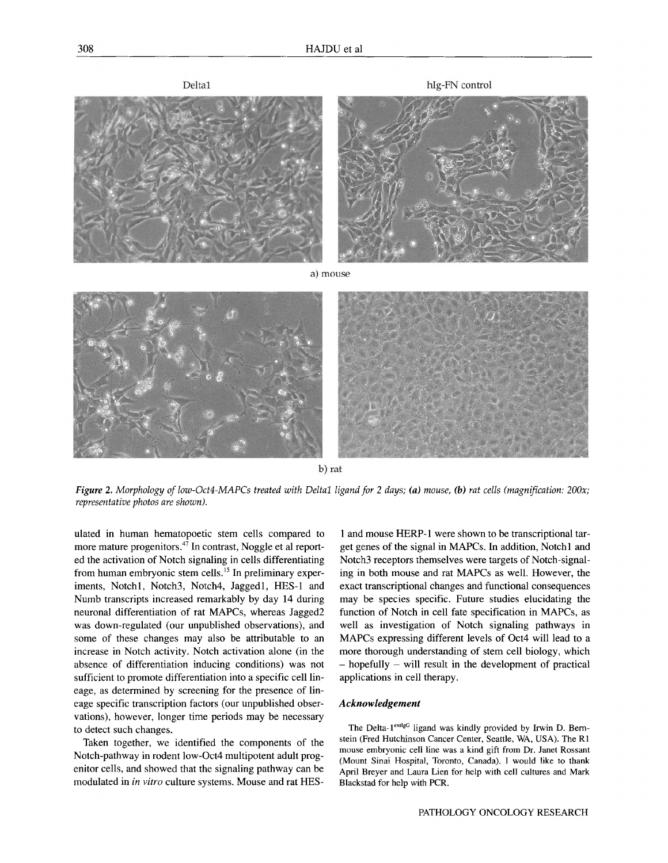

b) rat

*Figure 2. Morphology of low-Oct4-MAPCs treated with Deltal Iigand for 2 days; (a) mouse, (b) rat cells (magnification: 200x; representative photos are shown).* 

ulated in human hematopoetic stem cells compared to more mature progenitors.<sup> $47$ </sup> In contrast, Noggle et al reported the activation of Notch signaling in cells differentiating from human embryonic stem cells.<sup>15</sup> In preliminary experiments, Notch1, Notch3, Notch4, Jagged1, HES-1 and Numb transcripts increased remarkably by day 14 during neuronal differentiation of rat MAPCs, whereas Jagged2 was down-regulated (our unpublished observations), and some of these changes may also be attributable to an increase in Notch activity. Notch activation alone (in the absence of differentiation inducing conditions) was not sufficient to promote differentiation into a specific cell lineage, as determined by screening for the presence of lineage specific transcription factors (our unpublished observations), however, longer time periods may be necessary to detect such changes.

Taken together, we identified the components of the Notch-pathway in rodent low-Oct4 multipotent adult progenitor cells, and showed that the signaling pathway can be modulated in *in vitro* culture systems. Mouse and rat HES-

1 and mouse HERP-1 were shown to be transcriptional target genes of the signal in MAPCs. In addition, Notchl and Notch3 receptors themselves were targets of Notch-signaling in both mouse and rat MAPCs as well. However, the exact transcriptional changes and functional consequences may be species specific. Future studies elucidating the function of Notch in cell fate specification in MAPCs, as well as investigation of Notch signaling pathways in MAPCs expressing different levels of Oct4 will lead to a more thorough understanding of stem cell biology, which - hopefully - will result in the development of practical applications in cell therapy.

## *Acknowledgement*

The Delta-1<sup>extlgG</sup> ligand was kindly provided by Irwin D. Bernstein (Fred Hutchinson Cancer Center, Seattle, WA, USA). The R1 mouse embryonic cell line was a kind gift from Dr. Janet Rossant (Mount Sinai Hospital, Toronto, Canada). I would like to thank April Breyer and Laura Lien for help with cell cultures and Mark Blackstad for help with PCR.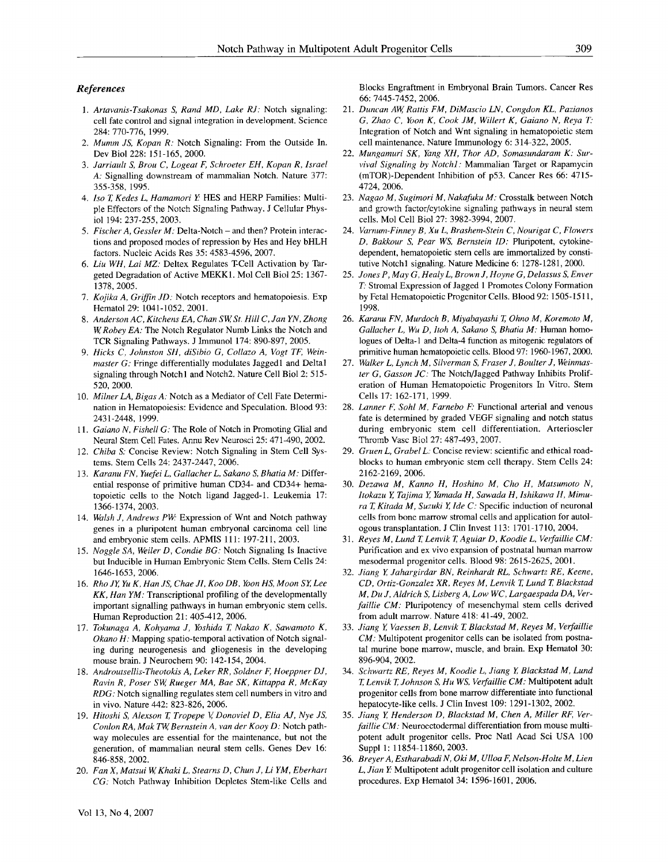#### *References*

- 1. Artavanis-Tsakonas S, Rand MD, Lake RJ: Notch signaling: cell fate control and signal integration in development. Science 284: 770-776, 1999.
- *2. Mumm JS, Kopan R:* Notch Signaling: From the Outside In. Dev Biol 228: 151-165, 2000.
- *3. Jarriault S, Brou C, Logeat F, Schroeter EH, Kopan R, Israel A:* Signalling downstream of mammalian Notch. Nature 377: 355-358, 1995.
- *4. Iso T, Kedes L, Hamamori Y:* HES and HERP Families: Multiple Effectors of the Notch Signaling Pathway. J Cellular Physiol 194: 237-255, 2003.
- *5. Fischer A, Gessler M:* Delta-Notch and then? Protein interactions and proposed modes of repression by Hes and Hey bHLH factors. Nucleic Acids Res 35: 4583-4596, 2007.
- *6. Liu WH, Lai MZ:* Deltex Regulates T-Cell Activation by Targeted Degradation of Active MEKK1. Mol Cell Biol 25: 1367- 1378, 2005.
- *7. Kojika A, Griffin JD:* Notch receptors and hematopoiesis. Exp Hematol 29: 1041-1052, 2001.
- *8. Anderson AC, Kitchens EA, Chan SW, St. Hill C, Jan YN, Zhong W, Robey EA:* The Notch Regulator Numb Links the Notch and TCR Signaling Pathways. J Immunol 174: 890-897, 2005.
- *9. Hicks C, Johnston SH, diSibio G, Collazo A, Vogt TF, Weinmaster G:* Fringe differentially modulates Jaggedl and Deltal signaling through Notch1 and Notch2. Nature Cell Biol 2: 515-520, 2000.
- 10. *Milner LA, Bigas A:* Notch as a Mediator of Cell Fate Determination in Hematopoiesis: Evidence and Speculation. Blood 93: 2431-2448, 1999.
- *11. Gaiano N, Fishell G: The* Role of Notch in Promoting Glial and Neural Stem Cell Fates. Annu Rev Neurosci 25: 471-490, 2002.
- 12. *Chiba S:* Concise Review: Notch Signaling in Stem Cell Systems. Stem Cells 24: 2437-2447, 2006.
- *13. Karanu FN, Yuefei L, Gallacher L, Sakano S, Bhatia M:* Differential response of primitive human CD34- and CD34+ hematopoietic cells to the Notch ligand Jagged-1. Leukemia 17: 1366-1374, 2003.
- 14. Walsh J, Andrews PW: Expression of Wnt and Notch pathway genes in a pluripotent human embryonal carcinoma cell line and embryonic stem cells. APMIS 111: 197-211, 2003.
- 15. *Noggle SA, Weiler D, Condie BG:* Notch Signaling Is Inactive but Inducible in Human Embryonic Stem Cells. Stem Cells 24: 1646-1653, 2006.
- *16. Rho JY Yu K, Han JS, Chae J1, Koo DB, Yoon HS, Moon SY, Lee KK, Han YM:* Transcriptional profiling of the developmentally important signalling pathways in human embryonic stem cells. Human Reproduction 21: 405-412, 2006.
- 17. *Tokunaga A, Kohyama J, Yoshida T, Nakao K, Sawamoto K, Okano H:* Mapping spatio-temporal activation of Notch signaling during neurogenesis and gliogenesis in the developing mouse brain. J Neurochem 90: 142-154, 2004.
- 18. Androutsellis-Theotokis A, Leker RR, Soldner F, Hoeppner DJ, *Ravin R, Poser SW, Rueger MA, Bae SK, Kittappa R, McKay RDG:* Notch signalling regulates stem cell numbers in vitro and in vivo. Nature 442: 823-826, 2006.
- 19. *Hitoshi S, Alexson T, Tropepe V, Donoviel D, Elia AJ, Nye JS, Conlon RA, Mak TW, Bernstein A, van der Kooy D:* Notch pathway molecules are essential for the maintenance, but not the generation, of mammalian neural stem cells. Genes Dev 16: 846-858, 2002.
- 20. *Fan X, Matsui W, Khaki L, Stearns D, Chun J, Li YM, Eberhart CG:* Notch Pathway Inhibition Depletes Stem-like Cells and

Blocks Engraftment in Embryonal Brain Tumors. Cancer Res 66: 7445-7452, 2006.

- 21. *Duncan AW, Rattis FM, DiMascio LN, Congdon KL, Pazianos G, Zhao C, Yoon K, Cook JM, Willert K, Gaiano N, Reya T:* Integration of Notch and Wnt signaling in hematopoietic stem cell maintenance. Nature Immunology 6:314-322, 2005.
- 22. *Mungamuri SK, Yang XH, Thor AD, Somasundaram K: Survival Signaling by Notchl :* Mammalian Target or Rapamycin (mTOR)-Dependent Inhibition of p53. Cancer Res 66: 4715- 4724, 2006.
- 23. *Nagao M, Sugimori M, Nakafuku M:* Crosstalk between Notch and growth factor/cytokine signaling pathways in neural stem cells. Mol Cell Biol 27: 3982-3994, 2007.
- 24. *Varnum-Finney B, Xu L, Brashem-Stein C, Nourigat C, Flowers D, Bakkour S, Pear WS, Bernstein 1D:* Pluripotent, cytokinedependent, hematopoietic stem cells are immortalized by constitutive Notch1 signaling. Nature Medicine 6: 1278-1281, 2000.
- 25. *Jones P, May G, Healy L, Brown J, Hoyne G, Delassus S, Enver*  T. Stromal Expression of Jagged 1 Promotes Colony Formation by Fetal Hematopoietic Progenitor Cells. Blood 92:1505-1511, 1998.
- 26. *Karanu FN, Murdoch B, Miyabayashi T, Ohno M, Koremoto M, Gallacher L, Wu D, ltoh A, Sakano S, Bhatia M:* Human homologues of Delta-1 and Delta-4 function as mitogenic regulators of primitive human hematopoietic cells. Blood 97: 1960-1967, 2000.
- 27. *Walker L, Lynch M, Silverman S, Fraser J, Boulter J, Weinmaster G, Gasson JC: The* Notch/Jagged Pathway Inhibits Proliferation of Human Hematopoietic Progenitors In Vitro. Stem Cells 17: 162-171, 1999.
- 28. *Lanner F, Sohl M, Farnebo F:* Functional arterial and venous fate is determined by graded VEGF signaling and notch status during embryonic stem cell differentiation. Arterioscler Thromb Vasc Biol 27: 487-493, 2007.
- 29. *Gruen L, Grabel L:* Concise review: scientific and ethical roadblocks to human embryonic stem cell therapy. Stem Cells 24: 2162-2169, 2006.
- 30. *Dezawa M, Kanno H, Hoshino M, Cho H, Matsumoto N, ltokazu Y, Tajima Y, Yamada H, Sawada H, Ishikawa H, Mimura T, Kitada M, Suzuki Y, Ide C:* Specific induction of neuronal cells from bone marrow stromal cells and application for autologous transplantation. J Clin Invest 113:1701-1710, 2004.
- *31. Reyes M, Lund T, Lenvik T, Aguiar D, Koodie L, Verfaillie CM:*  Purification and ex vivo expansion of postnatal human marrow mesodermal progenitor cells. Blood 98: 2615-2625, 2001.
- 32. *Jiang Y, Jahargirdar BN, Reinhardt RL, Schwartz RE, Keene, CD, Ortiz-Gonzalez XR, Reyes M, Lenvik T, Lund T, Blackstad M, Du J, Aldrich S, Lisberg A, Low WC, Largaespada DA, Verfaillie CM:* Pluripotency of mesenchymal stem cells derived from adult marrow. Nature 418: 41-49, 2002.
- 33. *Jiang Y, Vaessen B, Lenvik T, Blackstad M, Reyes M, Verfaillie CM:* Multipotent progenitor cells can be isolated from postnatal murine bone marrow, muscle, and brain. Exp Hematol 30: 896-904, 2002.
- 34. *Schwartz RE, Reyes M, Koodie L, Jiang Y, Blackstad M, Lund T, Lenvik T, Johnson S, Hu WS, Verfaillie CM:* Multipntent adult progenitor cells from bone marrow differentiate into functional hepatocyte-like cells. J Clin Invest 109: 1291-1302, 2002.
- 35. *Jiang Y, Henderson D, Blackstad M, Chen A, Miller RF, Verfaillie CM:* Neuroectodermal differentiation from mouse multipotent adult progenitor cells. Proc Natl Acad Sci USA 100 Suppl 1: 11854-11860, 2003.
- 36. *Breyer A, Estharabadi N, Oki M, Ulloa F, Nelson-Holte M, Lien L, Jian Y:* Multipotent adult progenitor cell isolation and culture procedures. Exp Hematol 34: 1596-1601, 2006.